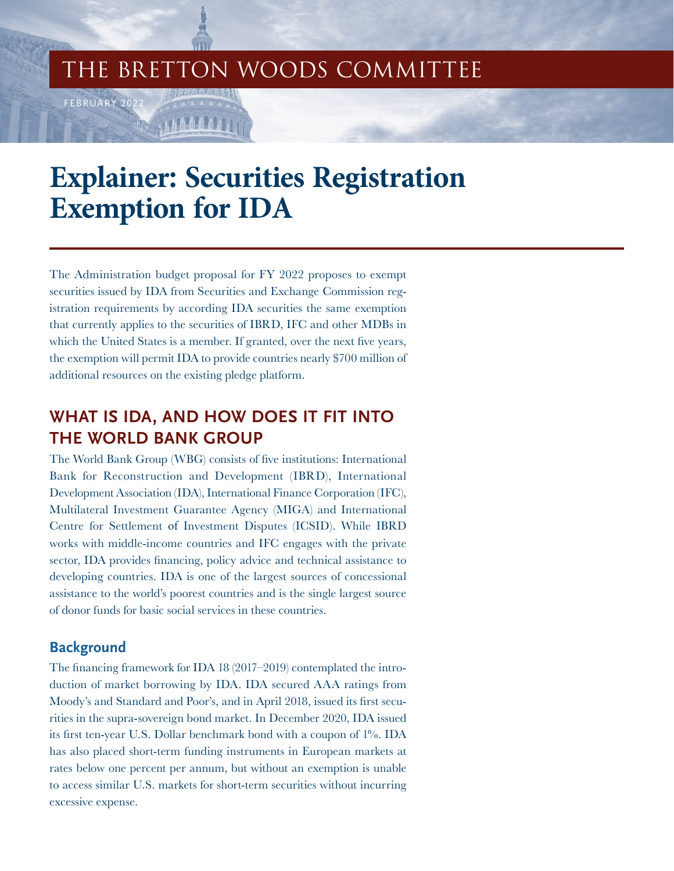## THE BRETTON WOODS COMMITTEE

# **Explainer: Securities Registration Exemption for IDA**

The Administration budget proposal for FY 2022 proposes to exempt securities issued by IDA from Securities and Exchange Commission registration requirements by according IDA securities the same exemption that currently applies to the securities of IBRD, IFC and other MDBs in which the United States is a member. If granted, over the next five years, the exemption will permit IDA to provide countries nearly \$700 million of additional resources on the existing pledge platform.

## **WHAT IS IDA, AND HOW DOES IT FIT INTO THE WORLD BANK GROUP**

The World Bank Group (WBG) consists of five institutions: International Bank for Reconstruction and Development (IBRD), International Development Association (IDA), International Finance Corporation (IFC), Multilateral Investment Guarantee Agency (MIGA) and International Centre for Settlement of Investment Disputes (ICSID). While IBRD works with middle-income countries and IFC engages with the private sector, IDA provides financing, policy advice and technical assistance to developing countries. IDA is one of the largest sources of concessional assistance to the world's poorest countries and is the single largest source of donor funds for basic social services in these countries.

### **Background**

FEBRUARY 202

The financing framework for IDA 18 (2017–2019) contemplated the introduction of market borrowing by IDA. IDA secured AAA ratings from Moody's and Standard and Poor's, and in April 2018, issued its first securities in the supra-sovereign bond market. In December 2020, IDA issued its first ten-year U.S. Dollar benchmark bond with a coupon of 1%. IDA has also placed short-term funding instruments in European markets at rates below one percent per annum, but without an exemption is unable to access similar U.S. markets for short-term securities without incurring excessive expense.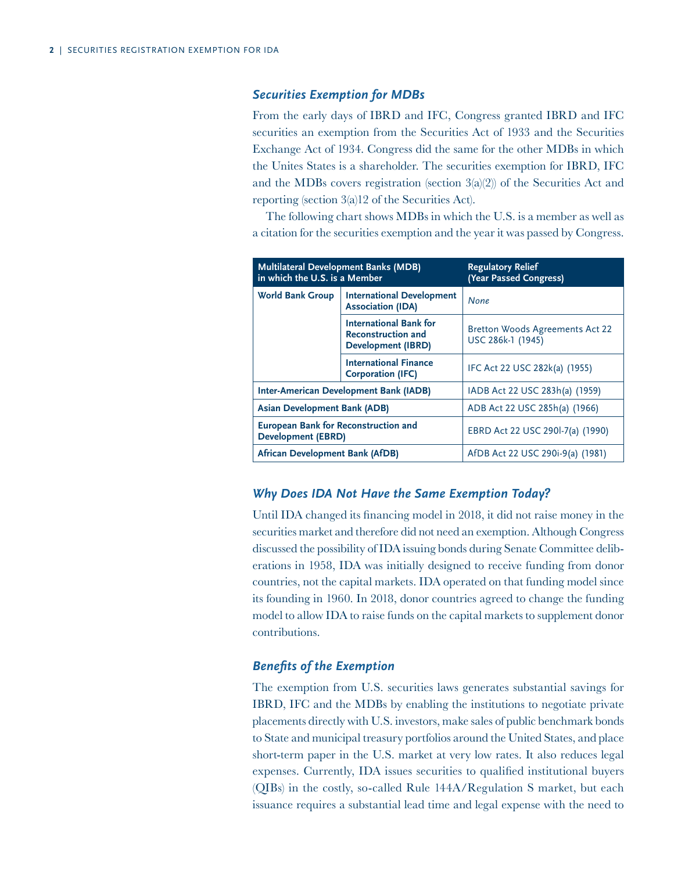#### *Securities Exemption for MDBs*

From the early days of IBRD and IFC, Congress granted IBRD and IFC securities an exemption from the Securities Act of 1933 and the Securities Exchange Act of 1934. Congress did the same for the other MDBs in which the Unites States is a shareholder. The securities exemption for IBRD, IFC and the MDBs covers registration (section  $3(a)(2)$ ) of the Securities Act and reporting (section 3(a)12 of the Securities Act).

The following chart shows MDBs in which the U.S. is a member as well as a citation for the securities exemption and the year it was passed by Congress.

| <b>Multilateral Development Banks (MDB)</b><br>in which the U.S. is a Member |                                                                                         | <b>Regulatory Relief</b><br>(Year Passed Congress)          |  |
|------------------------------------------------------------------------------|-----------------------------------------------------------------------------------------|-------------------------------------------------------------|--|
| <b>World Bank Group</b>                                                      | <b>International Development</b><br><b>Association (IDA)</b>                            | None                                                        |  |
|                                                                              | <b>International Bank for</b><br><b>Reconstruction and</b><br><b>Development (IBRD)</b> | <b>Bretton Woods Agreements Act 22</b><br>USC 286k-1 (1945) |  |
|                                                                              | <b>International Finance</b><br><b>Corporation (IFC)</b>                                | IFC Act 22 USC 282k(a) (1955)                               |  |
| <b>Inter-American Development Bank (IADB)</b>                                |                                                                                         | IADB Act 22 USC 283h(a) (1959)                              |  |
| <b>Asian Development Bank (ADB)</b>                                          |                                                                                         | ADB Act 22 USC 285h(a) (1966)                               |  |
| <b>European Bank for Reconstruction and</b><br><b>Development (EBRD)</b>     |                                                                                         | EBRD Act 22 USC 290l-7(a) (1990)                            |  |
| African Development Bank (AfDB)                                              |                                                                                         | AfDB Act 22 USC 290i-9(a) (1981)                            |  |

#### *Why Does IDA Not Have the Same Exemption Today?*

Until IDA changed its financing model in 2018, it did not raise money in the securities market and therefore did not need an exemption. Although Congress discussed the possibility of IDA issuing bonds during Senate Committee deliberations in 1958, IDA was initially designed to receive funding from donor countries, not the capital markets. IDA operated on that funding model since its founding in 1960. In 2018, donor countries agreed to change the funding model to allow IDA to raise funds on the capital markets to supplement donor contributions.

#### *Benefits of the Exemption*

The exemption from U.S. securities laws generates substantial savings for IBRD, IFC and the MDBs by enabling the institutions to negotiate private placements directly with U.S. investors, make sales of public benchmark bonds to State and municipal treasury portfolios around the United States, and place short-term paper in the U.S. market at very low rates. It also reduces legal expenses. Currently, IDA issues securities to qualified institutional buyers (QIBs) in the costly, so-called Rule 144A/Regulation S market, but each issuance requires a substantial lead time and legal expense with the need to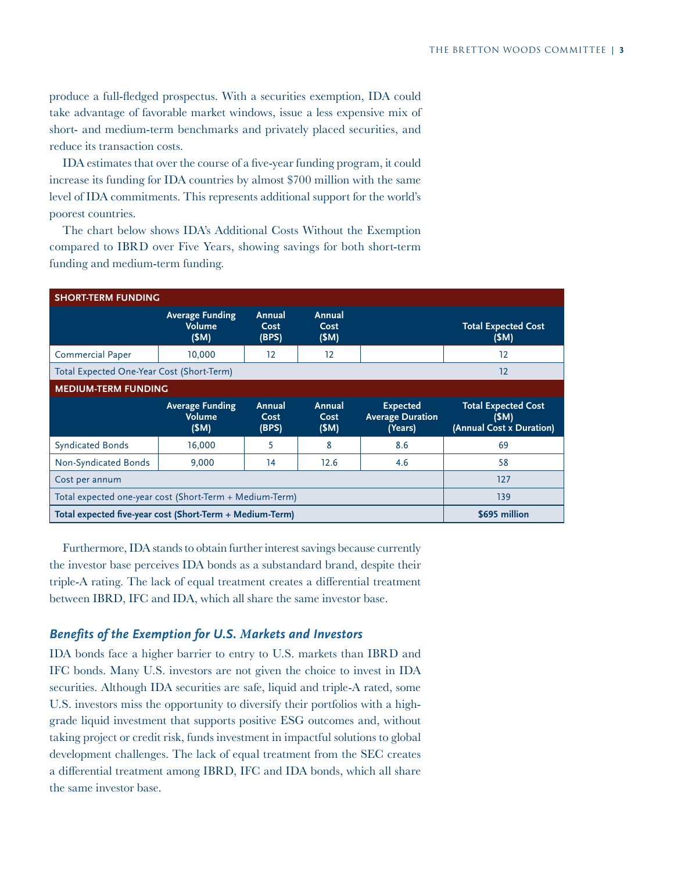produce a full-fledged prospectus. With a securities exemption, IDA could take advantage of favorable market windows, issue a less expensive mix of short- and medium-term benchmarks and privately placed securities, and reduce its transaction costs.

IDA estimates that over the course of a five-year funding program, it could increase its funding for IDA countries by almost \$700 million with the same level of IDA commitments. This represents additional support for the world's poorest countries.

The chart below shows IDA's Additional Costs Without the Exemption compared to IBRD over Five Years, showing savings for both short-term funding and medium-term funding.

| <b>SHORT-TERM FUNDING</b>                                |                                                 |                         |                        |                                                       |                                                                |  |  |
|----------------------------------------------------------|-------------------------------------------------|-------------------------|------------------------|-------------------------------------------------------|----------------------------------------------------------------|--|--|
|                                                          | <b>Average Funding</b><br>Volume<br>(SM)        | Annual<br>Cost<br>(BPS) | Annual<br>Cost<br>(SM) |                                                       | <b>Total Expected Cost</b><br>(SM)                             |  |  |
| <b>Commercial Paper</b>                                  | 10,000                                          | 12                      | 12                     |                                                       | 12                                                             |  |  |
| Total Expected One-Year Cost (Short-Term)                | 12                                              |                         |                        |                                                       |                                                                |  |  |
| <b>MEDIUM-TERM FUNDING</b>                               |                                                 |                         |                        |                                                       |                                                                |  |  |
|                                                          | <b>Average Funding</b><br><b>Volume</b><br>(SM) | Annual<br>Cost<br>(BPS) | Annual<br>Cost<br>(SM) | <b>Expected</b><br><b>Average Duration</b><br>(Years) | <b>Total Expected Cost</b><br>(SM)<br>(Annual Cost x Duration) |  |  |
| <b>Syndicated Bonds</b>                                  | 16,000                                          | 5                       | 8                      | 8.6                                                   | 69                                                             |  |  |
| Non-Syndicated Bonds                                     | 9,000                                           | 14                      | 12.6                   | 4.6                                                   | 58                                                             |  |  |
| Cost per annum                                           | 127                                             |                         |                        |                                                       |                                                                |  |  |
| Total expected one-year cost (Short-Term + Medium-Term)  | 139                                             |                         |                        |                                                       |                                                                |  |  |
| Total expected five-year cost (Short-Term + Medium-Term) | \$695 million                                   |                         |                        |                                                       |                                                                |  |  |

Furthermore, IDA stands to obtain further interest savings because currently the investor base perceives IDA bonds as a substandard brand, despite their triple-A rating. The lack of equal treatment creates a differential treatment between IBRD, IFC and IDA, which all share the same investor base.

#### *Benefits of the Exemption for U.S. Markets and Investors*

IDA bonds face a higher barrier to entry to U.S. markets than IBRD and IFC bonds. Many U.S. investors are not given the choice to invest in IDA securities. Although IDA securities are safe, liquid and triple-A rated, some U.S. investors miss the opportunity to diversify their portfolios with a highgrade liquid investment that supports positive ESG outcomes and, without taking project or credit risk, funds investment in impactful solutions to global development challenges. The lack of equal treatment from the SEC creates a differential treatment among IBRD, IFC and IDA bonds, which all share the same investor base.